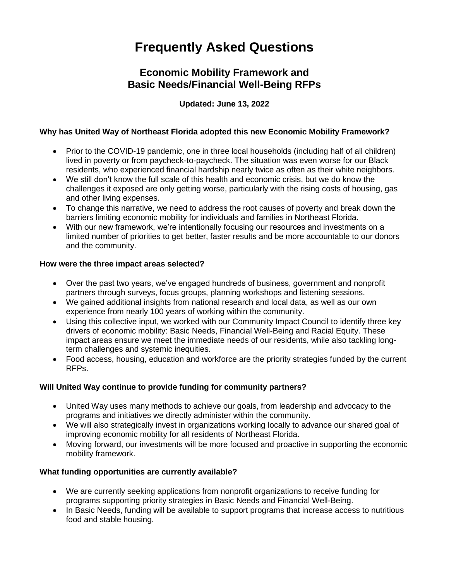# **Frequently Asked Questions**

## **Economic Mobility Framework and Basic Needs/Financial Well-Being RFPs**

## **Updated: June 13, 2022**

## **Why has United Way of Northeast Florida adopted this new Economic Mobility Framework?**

- Prior to the COVID-19 pandemic, one in three local households (including half of all children) lived in poverty or from paycheck-to-paycheck. The situation was even worse for our Black residents, who experienced financial hardship nearly twice as often as their white neighbors.
- We still don't know the full scale of this health and economic crisis, but we do know the challenges it exposed are only getting worse, particularly with the rising costs of housing, gas and other living expenses.
- To change this narrative, we need to address the root causes of poverty and break down the barriers limiting economic mobility for individuals and families in Northeast Florida.
- With our new framework, we're intentionally focusing our resources and investments on a limited number of priorities to get better, faster results and be more accountable to our donors and the community.

## **How were the three impact areas selected?**

- Over the past two years, we've engaged hundreds of business, government and nonprofit partners through surveys, focus groups, planning workshops and listening sessions.
- We gained additional insights from national research and local data, as well as our own experience from nearly 100 years of working within the community.
- Using this collective input, we worked with our Community Impact Council to identify three key drivers of economic mobility: Basic Needs, Financial Well-Being and Racial Equity. These impact areas ensure we meet the immediate needs of our residents, while also tackling longterm challenges and systemic inequities.
- Food access, housing, education and workforce are the priority strategies funded by the current RFPs.

## **Will United Way continue to provide funding for community partners?**

- United Way uses many methods to achieve our goals, from leadership and advocacy to the programs and initiatives we directly administer within the community.
- We will also strategically invest in organizations working locally to advance our shared goal of improving economic mobility for all residents of Northeast Florida.
- Moving forward, our investments will be more focused and proactive in supporting the economic mobility framework.

## **What funding opportunities are currently available?**

- We are currently seeking applications from nonprofit organizations to receive funding for programs supporting priority strategies in Basic Needs and Financial Well-Being.
- In Basic Needs, funding will be available to support programs that increase access to nutritious food and stable housing.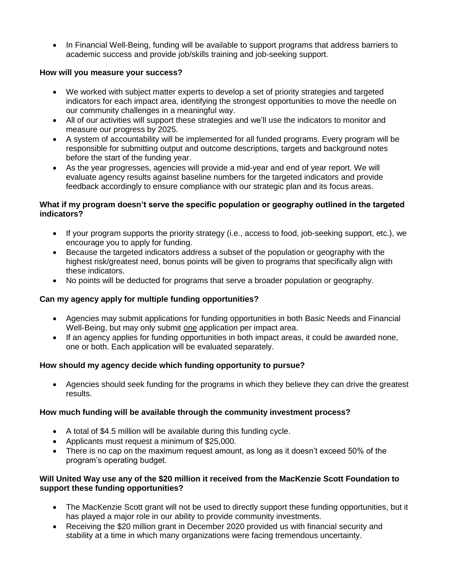• In Financial Well-Being, funding will be available to support programs that address barriers to academic success and provide job/skills training and job-seeking support.

## **How will you measure your success?**

- We worked with subject matter experts to develop a set of priority strategies and targeted indicators for each impact area, identifying the strongest opportunities to move the needle on our community challenges in a meaningful way.
- All of our activities will support these strategies and we'll use the indicators to monitor and measure our progress by 2025.
- A system of accountability will be implemented for all funded programs. Every program will be responsible for submitting output and outcome descriptions, targets and background notes before the start of the funding year.
- As the year progresses, agencies will provide a mid-year and end of year report. We will evaluate agency results against baseline numbers for the targeted indicators and provide feedback accordingly to ensure compliance with our strategic plan and its focus areas.

## **What if my program doesn't serve the specific population or geography outlined in the targeted indicators?**

- If your program supports the priority strategy (i.e., access to food, job-seeking support, etc.), we encourage you to apply for funding.
- Because the targeted indicators address a subset of the population or geography with the highest risk/greatest need, bonus points will be given to programs that specifically align with these indicators.
- No points will be deducted for programs that serve a broader population or geography.

## **Can my agency apply for multiple funding opportunities?**

- Agencies may submit applications for funding opportunities in both Basic Needs and Financial Well-Being, but may only submit one application per impact area.
- If an agency applies for funding opportunities in both impact areas, it could be awarded none, one or both. Each application will be evaluated separately.

## **How should my agency decide which funding opportunity to pursue?**

 Agencies should seek funding for the programs in which they believe they can drive the greatest results.

## **How much funding will be available through the community investment process?**

- A total of \$4.5 million will be available during this funding cycle.
- Applicants must request a minimum of \$25,000.
- There is no cap on the maximum request amount, as long as it doesn't exceed 50% of the program's operating budget.

## **Will United Way use any of the \$20 million it received from the MacKenzie Scott Foundation to support these funding opportunities?**

- The MacKenzie Scott grant will not be used to directly support these funding opportunities, but it has played a major role in our ability to provide community investments.
- Receiving the \$20 million grant in December 2020 provided us with financial security and stability at a time in which many organizations were facing tremendous uncertainty.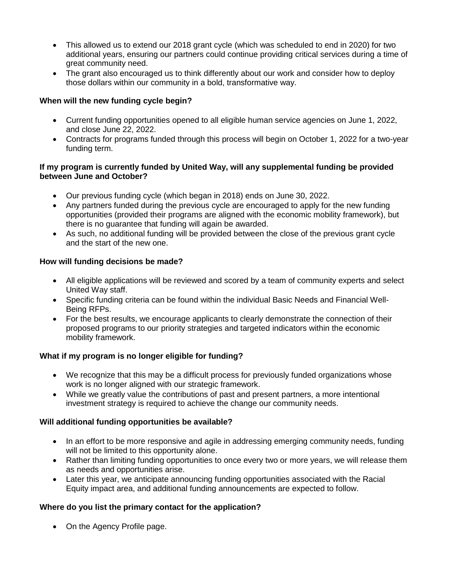- This allowed us to extend our 2018 grant cycle (which was scheduled to end in 2020) for two additional years, ensuring our partners could continue providing critical services during a time of great community need.
- The grant also encouraged us to think differently about our work and consider how to deploy those dollars within our community in a bold, transformative way.

## **When will the new funding cycle begin?**

- Current funding opportunities opened to all eligible human service agencies on June 1, 2022, and close June 22, 2022.
- Contracts for programs funded through this process will begin on October 1, 2022 for a two-year funding term.

#### **If my program is currently funded by United Way, will any supplemental funding be provided between June and October?**

- Our previous funding cycle (which began in 2018) ends on June 30, 2022.
- Any partners funded during the previous cycle are encouraged to apply for the new funding opportunities (provided their programs are aligned with the economic mobility framework), but there is no guarantee that funding will again be awarded.
- As such, no additional funding will be provided between the close of the previous grant cycle and the start of the new one.

## **How will funding decisions be made?**

- All eligible applications will be reviewed and scored by a team of community experts and select United Way staff.
- Specific funding criteria can be found within the individual Basic Needs and Financial Well-Being RFPs.
- For the best results, we encourage applicants to clearly demonstrate the connection of their proposed programs to our priority strategies and targeted indicators within the economic mobility framework.

## **What if my program is no longer eligible for funding?**

- We recognize that this may be a difficult process for previously funded organizations whose work is no longer aligned with our strategic framework.
- While we greatly value the contributions of past and present partners, a more intentional investment strategy is required to achieve the change our community needs.

## **Will additional funding opportunities be available?**

- In an effort to be more responsive and agile in addressing emerging community needs, funding will not be limited to this opportunity alone.
- Rather than limiting funding opportunities to once every two or more years, we will release them as needs and opportunities arise.
- Later this year, we anticipate announcing funding opportunities associated with the Racial Equity impact area, and additional funding announcements are expected to follow.

## **Where do you list the primary contact for the application?**

• On the Agency Profile page.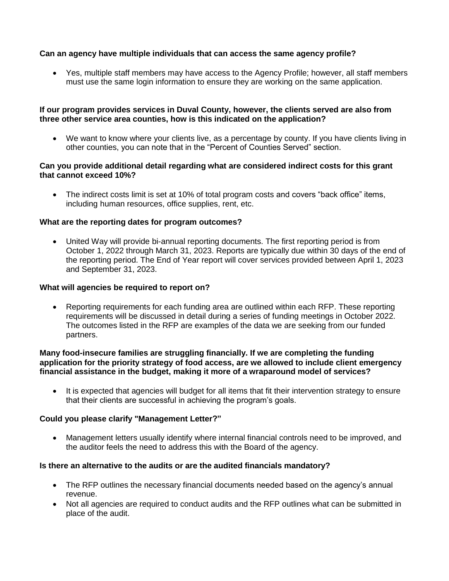## **Can an agency have multiple individuals that can access the same agency profile?**

 Yes, multiple staff members may have access to the Agency Profile; however, all staff members must use the same login information to ensure they are working on the same application.

#### **If our program provides services in Duval County, however, the clients served are also from three other service area counties, how is this indicated on the application?**

 We want to know where your clients live, as a percentage by county. If you have clients living in other counties, you can note that in the "Percent of Counties Served" section.

#### **Can you provide additional detail regarding what are considered indirect costs for this grant that cannot exceed 10%?**

 The indirect costs limit is set at 10% of total program costs and covers "back office" items, including human resources, office supplies, rent, etc.

#### **What are the reporting dates for program outcomes?**

 United Way will provide bi-annual reporting documents. The first reporting period is from October 1, 2022 through March 31, 2023. Reports are typically due within 30 days of the end of the reporting period. The End of Year report will cover services provided between April 1, 2023 and September 31, 2023.

#### **What will agencies be required to report on?**

 Reporting requirements for each funding area are outlined within each RFP. These reporting requirements will be discussed in detail during a series of funding meetings in October 2022. The outcomes listed in the RFP are examples of the data we are seeking from our funded partners.

#### **Many food-insecure families are struggling financially. If we are completing the funding application for the priority strategy of food access, are we allowed to include client emergency financial assistance in the budget, making it more of a wraparound model of services?**

• It is expected that agencies will budget for all items that fit their intervention strategy to ensure that their clients are successful in achieving the program's goals.

#### **Could you please clarify "Management Letter?"**

 Management letters usually identify where internal financial controls need to be improved, and the auditor feels the need to address this with the Board of the agency.

#### **Is there an alternative to the audits or are the audited financials mandatory?**

- The RFP outlines the necessary financial documents needed based on the agency's annual revenue.
- Not all agencies are required to conduct audits and the RFP outlines what can be submitted in place of the audit.